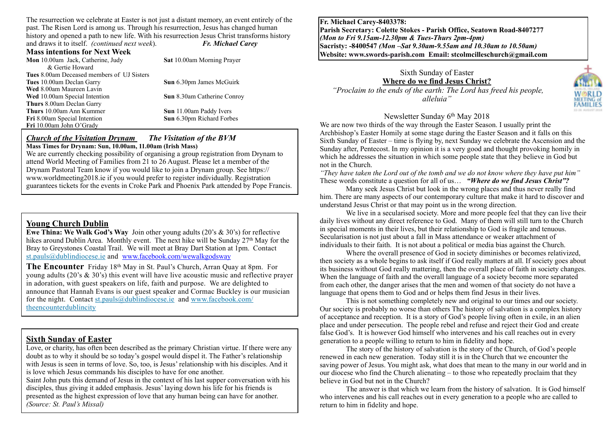The resurrection we celebrate at Easter is not just a distant memory, an event entirely of the past. The Risen Lord is among us. Through his resurrection, Jesus has changed human history and opened a path to new life. With his resurrection Jesus Christ transforms history and draws it to itself. *(continued next week*). *Fr. Michael Carey*

**Mass intentions for Next Week**

**Mon** 10.00am Jack, Catherine, Judy **Sat** 10.00am Morning Prayer & Gertie Howard **Tues** 8.00am Deceased members of UJ Sisters **Tues** 10.00am Declan Garry **Sun** 6.30pm James McGuirk **Wed** 8.00am Maureen Lavin **Wed** 10.00am Special Intention **Sun** 8.30am Catherine Conroy **Thurs** 8.00am Declan Garry **Thurs** 10.00am Ann Kummer **Sun** 11.00am Paddy Ivers<br>**Fri** 8.00am Special Intention **Sun** 6.30pm Richard Forbes **Fri** 8.00am Special Intention **Fri** 10.00am John O'Grady

#### *Church of the Visitation Drynam**The Visitation of the BVM* **Mass Times for Drynam: Sun, 10.00am, 11.00am (Irish Mass)**

We are currently checking possibility of organising a group registration from Drynam to attend World Meeting of Families from 21 to 26 August. Please let a member of the Drynam Pastoral Team know if you would like to join a Drynam group. See https:// www.worldmeeting2018.ie if you would prefer to register individually. Registration guarantees tickets for the events in Croke Park and Phoenix Park attended by Pope Francis.

### **Young Church Dublin**

**Ewe Thina: We Walk God's Way** Join other young adults (20's & 30's) for reflective hikes around Dublin Area. Monthly event. The next hike will be Sunday 27<sup>th</sup> May for the Bray to Greystones Coastal Trail. We will meet at Bray Dart Station at 1pm. Contact [st.pauls@dublindiocese.ie](mailto:st.pauls@dublindiocese.ie%22%20%5Ct%20%22_blank) and [www.facebook.com/wewalkgodsway](http://www.facebook.com/wewalkgodsway)

**The Encounter** Friday 18<sup>th</sup> May in St. Paul's Church, Arran Quay at 8pm. For young adults (20's  $\&$  30's) this event will have live acoustic music and reflective prayer in adoration, with guest speakers on life, faith and purpose. We are delighted to announce that Hannah Evans is our guest speaker and Cormac Buckley is our musician [for the night. Contact s](http://www.facebook.com/theencounterdublincity%22%20%5Ct%20%22_blank)[t.pauls@dublindiocese.i](mailto:st.pauls@dublindiocese.ie%22%20%5Ct%20%22_blank)[e and www.facebook.com/](http://www.facebook.com/theencounterdublincity%22%20%5Ct%20%22_blank) theencounterdublincity

### **Sixth Sunday of Easter**

Love, or charity, has often been described as the primary Christian virtue. If there were any doubt as to why it should be so today's gospel would dispel it. The Father's relationship with Jesus is seen in terms of love. So, too, is Jesus' relationship with his disciples. And it is love which Jesus commands his disciples to have for one another. Saint John puts this demand of Jesus in the context of his last supper conversation with his

disciples, thus giving it added emphasis. Jesus' laying down his life for his friends is presented as the highest expression of love that any human being can have for another. *(Source: St. Paul's Missal)*

**Fr. Michael Carey-8403378: Parish Secretary: Colette Stokes - Parish Office, Seatown Road-8407277**  *(Mon to Fri 9.15am-12.30pm & Tues-Thurs 2pm-4pm)*  **Sacristy: -8400547** *(Mon –Sat 9.30am-9.55am and 10.30am to 10.50am)* **Website: [www.swords-parish.com Email:](http://www.swords-parish.com%20%20email) stcolmcilleschurch@gmail.com**

Sixth Sunday of Easter **Where do we find Jesus Christ?**   *"Proclaim to the ends of the earth: The Lord has freed his people, alleluia"*

**MEETING** FAMILIES

#### Newsletter Sunday 6th May 2018

We are now two thirds of the way through the Easter Season. I usually print the Archbishop's Easter Homily at some stage during the Easter Season and it falls on this Sixth Sunday of Easter – time is flying by, next Sunday we celebrate the Ascension and the Sunday after, Pentecost. In my opinion it is a very good and thought provoking homily in which he addresses the situation in which some people state that they believe in God but not in the Church.

*"They have taken the Lord out of the tomb and we do not know where they have put him"*  These words constitute a question for all of us… *"Where do we find Jesus Christ"?*

Many seek Jesus Christ but look in the wrong places and thus never really find him. There are many aspects of our contemporary culture that make it hard to discover and understand Jesus Christ or that may point us in the wrong direction.

We live in a secularised society. More and more people feel that they can live their daily lives without any direct reference to God. Many of them will still turn to the Church in special moments in their lives, but their relationship to God is fragile and tenuous. Secularisation is not just about a fall in Mass attendance or weaker attachment of individuals to their faith. It is not about a political or media bias against the Church.

Where the overall presence of God in society diminishes or becomes relativized, then society as a whole begins to ask itself if God really matters at all. If society goes about its business without God really mattering, then the overall place of faith in society changes. When the language of faith and the overall language of a society become more separated from each other, the danger arises that the men and women of that society do not have a language that opens them to God and or helps them find Jesus in their lives.

This is not something completely new and original to our times and our society. Our society is probably no worse than others The history of salvation is a complex history of acceptance and reception. It is a story of God's people living often in exile, in an alien place and under persecution. The people rebel and refuse and reject their God and create false God's. It is however God himself who intervenes and his call reaches out in every generation to a people willing to return to him in fidelity and hope.

 The story of the history of salvation is the story of the Church, of God's people renewed in each new generation. Today still it is in the Church that we encounter the saving power of Jesus. You might ask, what does that mean to the many in our world and in our diocese who find the Church alienating – to those who repeatedly proclaim that they believe in God but not in the Church?

The answer is that which we learn from the history of salvation. It is God himself who intervenes and his call reaches out in every generation to a people who are called to return to him in fidelity and hope.